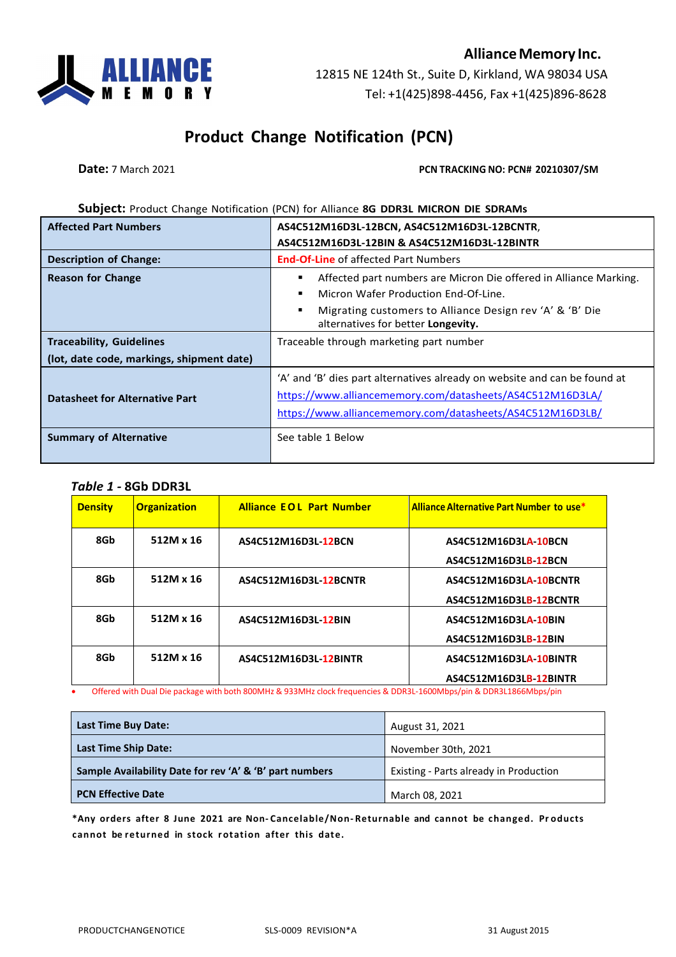### **AllianceMemory Inc.**

12815 NE 124th St., Suite D, Kirkland, WA 98034 USA Tel: +1(425)898-4456, Fax +1(425)896-8628

# **Product Change Notification (PCN)**

**Date:** 7 March 2021 **PCN TRACKING NO: PCN# 20210307/SM** 

#### **Subject:** Product Change Notification (PCN) for Alliance **8G DDR3L MICRON DIE SDRAMs**

| <b>Affected Part Numbers</b>              | AS4C512M16D3L-12BCN, AS4C512M16D3L-12BCNTR,                                                                                                                                                         |  |  |  |  |  |  |
|-------------------------------------------|-----------------------------------------------------------------------------------------------------------------------------------------------------------------------------------------------------|--|--|--|--|--|--|
|                                           | AS4C512M16D3L-12BIN & AS4C512M16D3L-12BINTR                                                                                                                                                         |  |  |  |  |  |  |
| <b>Description of Change:</b>             | <b>End-Of-Line</b> of affected Part Numbers                                                                                                                                                         |  |  |  |  |  |  |
| <b>Reason for Change</b>                  | Affected part numbers are Micron Die offered in Alliance Marking.<br>Е<br>Micron Wafer Production End-Of-Line.<br>٠                                                                                 |  |  |  |  |  |  |
|                                           | Migrating customers to Alliance Design rev 'A' & 'B' Die<br>п<br>alternatives for better Longevity.                                                                                                 |  |  |  |  |  |  |
| <b>Traceability, Guidelines</b>           | Traceable through marketing part number                                                                                                                                                             |  |  |  |  |  |  |
| (lot, date code, markings, shipment date) |                                                                                                                                                                                                     |  |  |  |  |  |  |
| <b>Datasheet for Alternative Part</b>     | 'A' and 'B' dies part alternatives already on website and can be found at<br>https://www.alliancememory.com/datasheets/AS4C512M16D3LA/<br>https://www.alliancememory.com/datasheets/AS4C512M16D3LB/ |  |  |  |  |  |  |
| <b>Summary of Alternative</b>             | See table 1 Below                                                                                                                                                                                   |  |  |  |  |  |  |

*Table 1 -* **8Gb DDR3L**

| <b>Density</b> | <b>Organization</b> | <b>Alliance EQL Part Number</b> | Alliance Alternative Part Number to use* |
|----------------|---------------------|---------------------------------|------------------------------------------|
| 8Gb            | 512M x 16           | AS4C512M16D3L-12BCN             | AS4C512M16D3LA-10BCN                     |
|                |                     |                                 | AS4C512M16D3LB-12BCN                     |
| 8Gb            | 512M x 16           | AS4C512M16D3L-12BCNTR           | AS4C512M16D3LA-10BCNTR                   |
|                |                     |                                 | AS4C512M16D3LB-12BCNTR                   |
| 8Gb            | 512M x 16           | AS4C512M16D3L-12BIN             | AS4C512M16D3LA-10BIN                     |
|                |                     |                                 | AS4C512M16D3LB-12BIN                     |
| 8Gb            | 512M x 16           | AS4C512M16D3L-12BINTR           | AS4C512M16D3LA-10BINTR                   |
|                |                     |                                 | AS4C512M16D3LB-12BINTR                   |

• Offered with Dual Die package with both 800MHz & 933MHz clock frequencies & DDR3L-1600Mbps/pin & DDR3L1866Mbps/pin

| <b>Last Time Buy Date:</b>                              | August 31, 2021                        |
|---------------------------------------------------------|----------------------------------------|
| <b>Last Time Ship Date:</b>                             | November 30th, 2021                    |
| Sample Availability Date for rev 'A' & 'B' part numbers | Existing - Parts already in Production |
| <b>PCN Effective Date</b>                               | March 08, 2021                         |

**\*Any orders after 8 June 2021 are Non- Cancelable/Non- Returnable and cannot be changed. Pr oducts cannot be returned in stock rotation after this date.**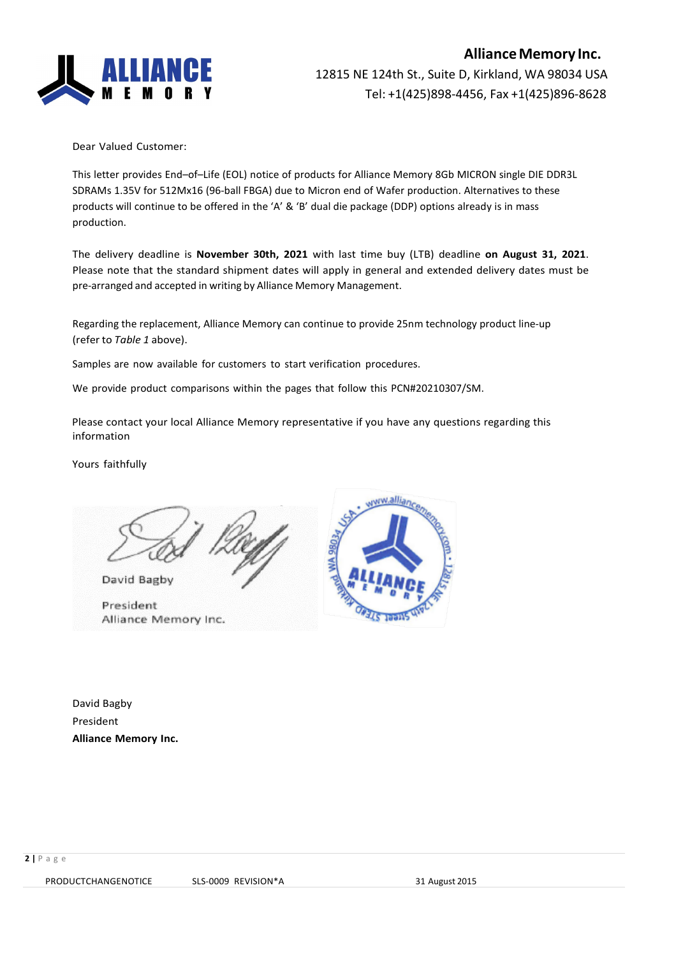

Dear Valued Customer:

This letter provides End–of–Life (EOL) notice of products for Alliance Memory 8Gb MICRON single DIE DDR3L SDRAMs 1.35V for 512Mx16 (96-ball FBGA) due to Micron end of Wafer production. Alternatives to these products will continue to be offered in the 'A' & 'B' dual die package (DDP) options already is in mass production.

The delivery deadline is **November 30th, 2021** with last time buy (LTB) deadline **on August 31, 2021**. Please note that the standard shipment dates will apply in general and extended delivery dates must be pre-arranged and accepted in writing by Alliance Memory Management.

Regarding the replacement, Alliance Memory can continue to provide 25nm technology product line-up (refer to *Table 1* above).

Samples are now available for customers to start verification procedures.

We provide product comparisons within the pages that follow this PCN#20210307/SM.

Please contact your local Alliance Memory representative if you have any questions regarding this information

Yours faithfully

David Bagby

President Alliance Memory Inc.



David Bagby President **Alliance Memory Inc.**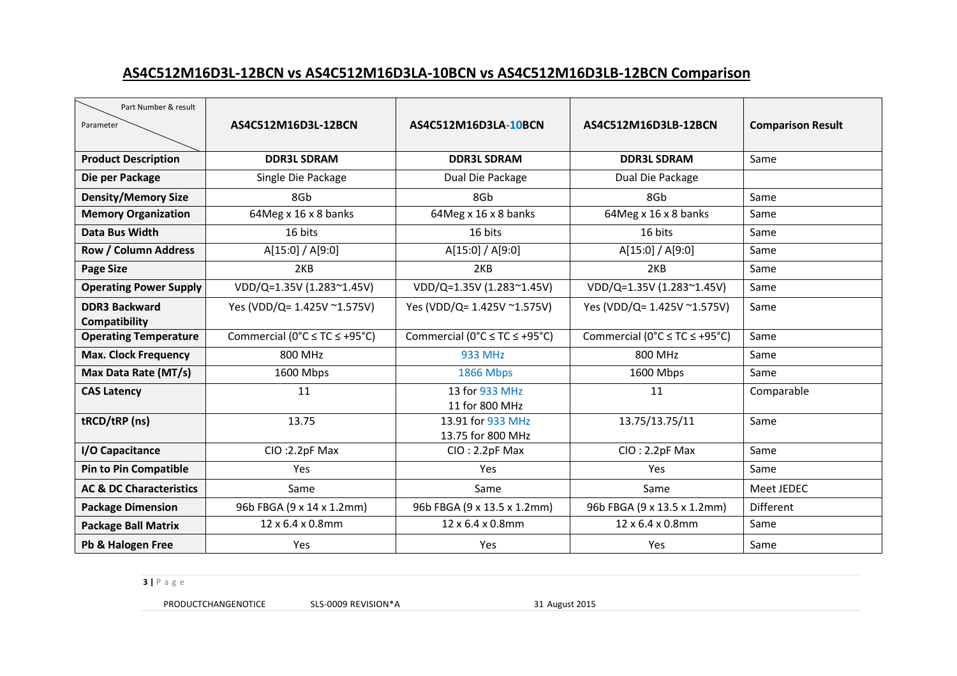### **AS4C512M16D3L-12BCN vs AS4C512M16D3LA-10BCN vs AS4C512M16D3LB-12BCN Comparison**

| Part Number & result<br>Parameter     | AS4C512M16D3L-12BCN                                 | AS4C512M16D3LA-10BCN                                | AS4C512M16D3LB-12BCN                                | <b>Comparison Result</b> |  |  |  |
|---------------------------------------|-----------------------------------------------------|-----------------------------------------------------|-----------------------------------------------------|--------------------------|--|--|--|
| <b>Product Description</b>            | <b>DDR3L SDRAM</b>                                  | <b>DDR3L SDRAM</b>                                  | <b>DDR3L SDRAM</b>                                  | Same                     |  |  |  |
| Die per Package                       | Single Die Package                                  | Dual Die Package                                    | Dual Die Package                                    |                          |  |  |  |
| <b>Density/Memory Size</b>            | 8Gb                                                 | 8Gb                                                 | 8Gb                                                 | Same                     |  |  |  |
| <b>Memory Organization</b>            | 64Meg x 16 x 8 banks                                | 64Meg x 16 x 8 banks                                | 64Meg x 16 x 8 banks                                | Same                     |  |  |  |
| Data Bus Width                        | 16 bits                                             | 16 bits                                             | 16 bits                                             | Same                     |  |  |  |
| <b>Row / Column Address</b>           | A[15:0] / A[9:0]                                    | A[15:0] / A[9:0]                                    | A[15:0] / A[9:0]                                    | Same                     |  |  |  |
| <b>Page Size</b>                      | 2KB                                                 | 2KB                                                 | 2KB                                                 | Same                     |  |  |  |
| <b>Operating Power Supply</b>         | VDD/Q=1.35V (1.283~1.45V)                           | VDD/Q=1.35V (1.283~1.45V)                           | VDD/Q=1.35V (1.283~1.45V)                           | Same                     |  |  |  |
| <b>DDR3 Backward</b><br>Compatibility | Yes (VDD/Q= 1.425V ~1.575V)                         | Yes (VDD/Q= 1.425V ~1.575V)                         | Yes (VDD/Q= 1.425V ~1.575V)                         | Same                     |  |  |  |
| <b>Operating Temperature</b>          | Commercial ( $0^{\circ}C \le TC \le +95^{\circ}C$ ) | Commercial ( $0^{\circ}C \le TC \le +95^{\circ}C$ ) | Commercial ( $0^{\circ}C \le TC \le +95^{\circ}C$ ) | Same                     |  |  |  |
| <b>Max. Clock Frequency</b>           | 800 MHz                                             | <b>933 MHz</b>                                      | 800 MHz                                             | Same                     |  |  |  |
| Max Data Rate (MT/s)                  | 1600 Mbps                                           | <b>1866 Mbps</b>                                    | 1600 Mbps                                           | Same                     |  |  |  |
| <b>CAS Latency</b>                    | 11                                                  | 13 for 933 MHz<br>11 for 800 MHz                    | 11                                                  | Comparable               |  |  |  |
| tRCD/tRP (ns)                         | 13.75                                               | 13.91 for 933 MHz<br>13.75 for 800 MHz              | 13.75/13.75/11                                      | Same                     |  |  |  |
| I/O Capacitance                       | CIO:2.2pF Max                                       | $ClO: 2.2pF$ Max                                    | $ClO: 2.2pF$ Max                                    | Same                     |  |  |  |
| <b>Pin to Pin Compatible</b>          | <b>Yes</b>                                          | <b>Yes</b>                                          | Yes                                                 | Same                     |  |  |  |
| <b>AC &amp; DC Characteristics</b>    | Same                                                | Same                                                | Same                                                | Meet JEDEC               |  |  |  |
| <b>Package Dimension</b>              | 96b FBGA (9 x 14 x 1.2mm)                           | 96b FBGA (9 x 13.5 x 1.2mm)                         | 96b FBGA (9 x 13.5 x 1.2mm)                         | <b>Different</b>         |  |  |  |
| <b>Package Ball Matrix</b>            | 12 x 6.4 x 0.8mm                                    | 12 x 6.4 x 0.8mm                                    | 12 x 6.4 x 0.8mm                                    | Same                     |  |  |  |
| Pb & Halogen Free                     | Yes                                                 | <b>Yes</b>                                          | Yes                                                 | Same                     |  |  |  |

**3 |** P a g e

PRODUCTCHANGENOTICE SLS-0009 REVISION\*A 31 August 2015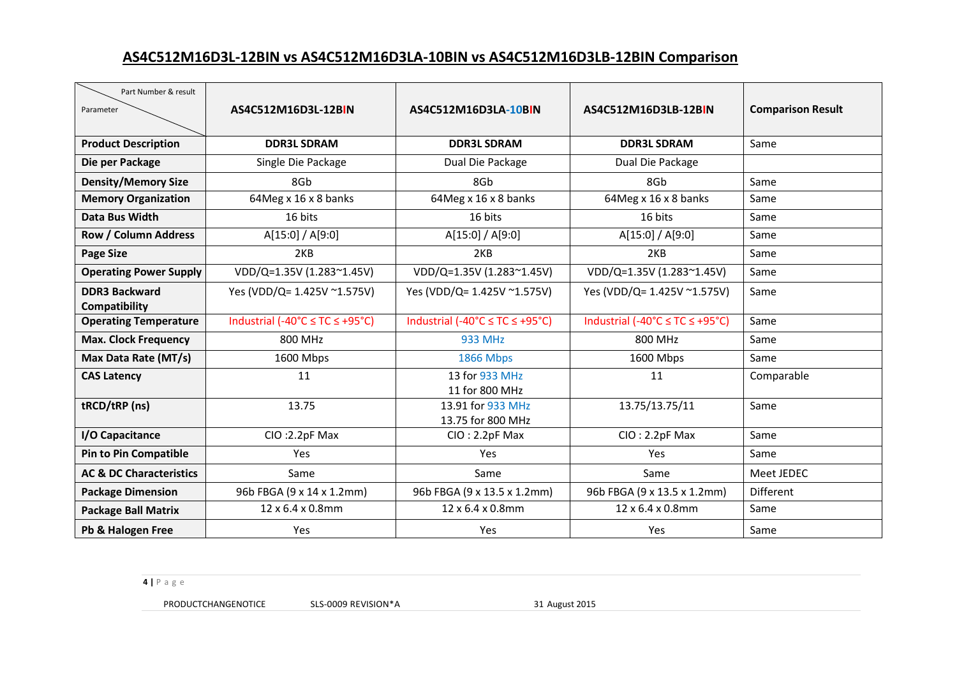# **AS4C512M16D3L-12BIN vs AS4C512M16D3LA-10BIN vs AS4C512M16D3LB-12BIN Comparison**

| Part Number & result               |                                           |                                 |                                 |                          |  |
|------------------------------------|-------------------------------------------|---------------------------------|---------------------------------|--------------------------|--|
| Parameter                          | AS4C512M16D3L-12BIN                       | AS4C512M16D3LA-10BIN            | AS4C512M16D3LB-12BIN            | <b>Comparison Result</b> |  |
|                                    |                                           |                                 |                                 |                          |  |
| <b>Product Description</b>         | <b>DDR3L SDRAM</b>                        | <b>DDR3L SDRAM</b>              | <b>DDR3L SDRAM</b>              | Same                     |  |
| Die per Package                    | Single Die Package                        | Dual Die Package                | Dual Die Package                |                          |  |
| <b>Density/Memory Size</b>         | 8Gb                                       | 8G <sub>b</sub>                 | 8G <sub>b</sub>                 | Same                     |  |
| <b>Memory Organization</b>         | 64Meg x 16 x 8 banks                      | 64Meg x 16 x 8 banks            | 64Meg x 16 x 8 banks            | Same                     |  |
| Data Bus Width                     | 16 bits                                   | 16 bits                         | 16 bits                         | Same                     |  |
| <b>Row / Column Address</b>        | A[15:0] / A[9:0]                          | A[15:0] / A[9:0]                | A[15:0] / A[9:0]                | Same                     |  |
| <b>Page Size</b>                   | 2KB                                       | 2KB                             | 2KB                             | Same                     |  |
| <b>Operating Power Supply</b>      | VDD/Q=1.35V (1.283~1.45V)                 | VDD/Q=1.35V (1.283~1.45V)       | VDD/Q=1.35V (1.283~1.45V)       | Same                     |  |
| <b>DDR3 Backward</b>               | Yes (VDD/Q= 1.425V ~1.575V)               | Yes (VDD/Q= 1.425V ~1.575V)     | Yes (VDD/Q= 1.425V ~1.575V)     | Same                     |  |
| Compatibility                      |                                           |                                 |                                 |                          |  |
| <b>Operating Temperature</b>       | Industrial (-40°C $\leq$ TC $\leq$ +95°C) | Industrial (-40°C ≤ TC ≤ +95°C) | Industrial (-40°C ≤ TC ≤ +95°C) | Same                     |  |
| <b>Max. Clock Frequency</b>        | 800 MHz                                   | <b>933 MHz</b>                  | 800 MHz                         | Same                     |  |
| Max Data Rate (MT/s)               | 1600 Mbps                                 | 1866 Mbps                       | 1600 Mbps                       | Same                     |  |
| <b>CAS Latency</b>                 | 11                                        | 13 for 933 MHz                  | 11                              | Comparable               |  |
|                                    |                                           | 11 for 800 MHz                  |                                 |                          |  |
| tRCD/tRP (ns)                      | 13.75                                     | 13.91 for 933 MHz               | 13.75/13.75/11                  | Same                     |  |
|                                    |                                           | 13.75 for 800 MHz               |                                 |                          |  |
| I/O Capacitance                    | CIO: 2.2pF Max                            | $ClO: 2.2pF$ Max                | $ClO: 2.2pF$ Max                | Same                     |  |
| <b>Pin to Pin Compatible</b>       | Yes                                       | Yes                             | Yes                             | Same                     |  |
| <b>AC &amp; DC Characteristics</b> | Same                                      | Same                            | Same                            | Meet JEDEC               |  |
| <b>Package Dimension</b>           | 96b FBGA (9 x 14 x 1.2mm)                 | 96b FBGA (9 x 13.5 x 1.2mm)     | 96b FBGA (9 x 13.5 x 1.2mm)     | Different                |  |
| <b>Package Ball Matrix</b>         | 12 x 6.4 x 0.8mm                          | 12 x 6.4 x 0.8mm                | 12 x 6.4 x 0.8mm                | Same                     |  |
| Pb & Halogen Free                  | Yes                                       | Yes                             | Yes                             | Same                     |  |

**4 |** P a g e

PRODUCTCHANGENOTICE SLS-0009 REVISION\*A 31 August 2015